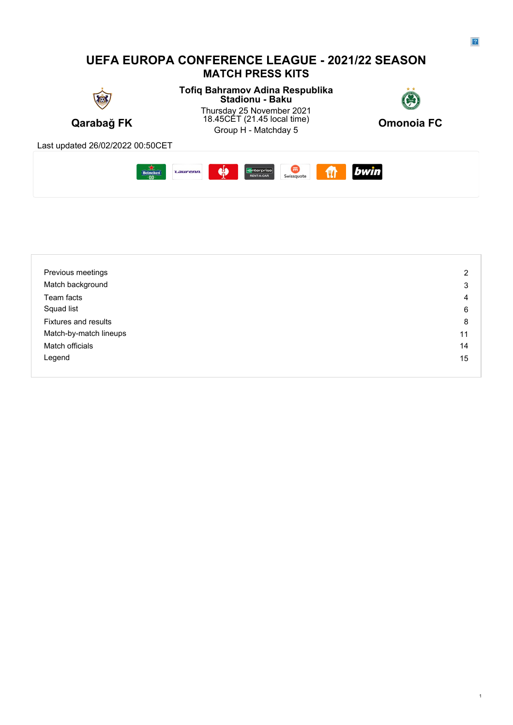#### **UEFA EUROPA CONFERENCE LEAGUE - 2021/22 SEASON MATCH PRESS KITS Tofiq Bahramov Adina Respublika Stadionu - Baku** Thursday 25 November 2021 18.45CET (21.45 local time)  $Q_{\text{monois}} E C$ **Qarabağ FK** 18.45CET (21.45 local time) **Omonoia FC** 45CET (21.45 local time)<br>Group H - Matchday 5 **Omonoia FC** Last updated 26/02/2022 00:50CET **CONTROL**<br>Swissquote bwin  $\frac{1}{2}$ **Enterprise**<br>RENT-A-CAR Heineken **Laurenn**  $\mathbf{m}$

| Previous meetings           | 2  |
|-----------------------------|----|
| Match background            | 3  |
| Team facts                  | 4  |
| Squad list                  | 6  |
| <b>Fixtures and results</b> | 8  |
| Match-by-match lineups      | 11 |
| Match officials             | 14 |
| Legend                      | 15 |
|                             |    |

1

 $\overline{2}$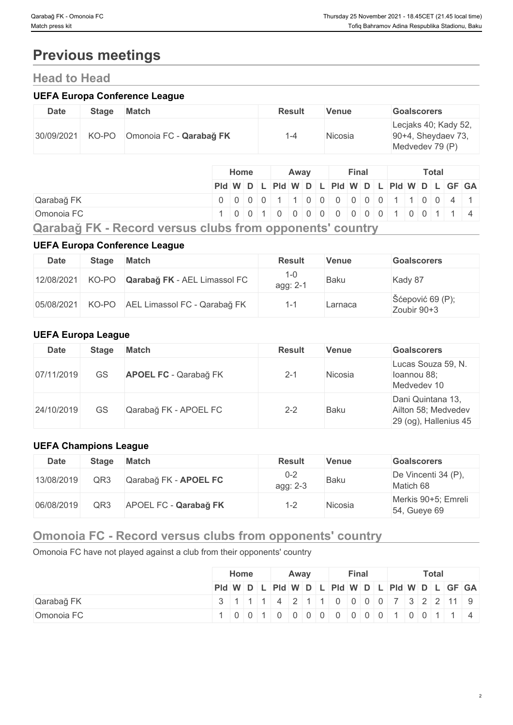# **Previous meetings**

## **Head to Head**

## **UEFA Europa Conference League**

| <b>Date</b> | <b>Stage</b> | Match                   | <b>Result</b> | <b>Venue</b> | <b>Goalscorers</b>                                               |
|-------------|--------------|-------------------------|---------------|--------------|------------------------------------------------------------------|
| 30/09/2021  | KO-PO        | Omonoia FC - Qarabağ FK | -4            | Nicosia      | Lecjaks 40; Kady 52,<br>$90+4$ , Sheydaev 73,<br>Medvedev 79 (P) |

|                                                                | Home                                          | Away |  | Final |  | <b>Total</b> |  |  |  |  |  |  |
|----------------------------------------------------------------|-----------------------------------------------|------|--|-------|--|--------------|--|--|--|--|--|--|
|                                                                | Pid W D L Pid W D L Pid W D L Pid W D L GF GA |      |  |       |  |              |  |  |  |  |  |  |
| Qarabağ FK                                                     | 000001100000001100141                         |      |  |       |  |              |  |  |  |  |  |  |
| Omonoia FC                                                     | 10010100000000010011                          |      |  |       |  |              |  |  |  |  |  |  |
| Osnaka X. Elf. . Baaand wanays aluka fusin ammamantal aayyahuy |                                               |      |  |       |  |              |  |  |  |  |  |  |

**Qarabağ FK - Record versus clubs from opponents' country**

## **UEFA Europa Conference League**

| <b>Date</b> | <b>Stage</b> | Match                              | <b>Result</b>         | <b>Venue</b> | <b>Goalscorers</b>                       |
|-------------|--------------|------------------------------------|-----------------------|--------------|------------------------------------------|
| 12/08/2021  | KO-PO        | Qarabağ FK - AEL Limassol FC       | $1 - 0$<br>agg: $2-1$ | <b>Baku</b>  | Kady 87                                  |
| 05/08/2021  |              | KO-PO AEL Limassol FC - Qarabağ FK |                       | Larnaca      | $\text{Séepović }69$ (P);<br>Zoubir 90+3 |

## **UEFA Europa League**

| <b>Date</b> | <b>Stage</b> | <b>Match</b>                 | <b>Result</b> | Venue   | <b>Goalscorers</b>                                                |
|-------------|--------------|------------------------------|---------------|---------|-------------------------------------------------------------------|
| 07/11/2019  | GS           | <b>APOEL FC - Qarabağ FK</b> | $2 - 1$       | Nicosia | Lucas Souza 59, N.<br>loannou 88;<br>Medvedev 10                  |
| 24/10/2019  | GS           | Qarabağ FK - APOEL FC        | $2 - 2$       | Baku    | Dani Quintana 13,<br>Ailton 58; Medvedev<br>29 (og), Hallenius 45 |

## **UEFA Champions League**

| <b>Date</b> | <b>Stage</b> | <b>Match</b>          | <b>Result</b>            | <b>Venue</b> | <b>Goalscorers</b>                  |
|-------------|--------------|-----------------------|--------------------------|--------------|-------------------------------------|
| 13/08/2019  | QR3          | Qarabağ FK - APOEL FC | $0 - 2$<br>agg: 2-3      | <b>Baku</b>  | De Vincenti 34 (P),<br>Matich 68    |
| 06/08/2019  | QR3          | APOEL FC - Qarabağ FK | $\overline{\phantom{a}}$ | Nicosia      | Merkis 90+5; Emreli<br>54, Gueye 69 |

# **Omonoia FC - Record versus clubs from opponents' country**

Omonoia FC have not played against a club from their opponents' country

|            | Home |  |  | Away                   |  |  |  | <b>Final</b> |  |  |  | <b>Total</b> |  |  |  |  |                                               |  |
|------------|------|--|--|------------------------|--|--|--|--------------|--|--|--|--------------|--|--|--|--|-----------------------------------------------|--|
|            |      |  |  |                        |  |  |  |              |  |  |  |              |  |  |  |  | PId W D L PId W D L PId W D L PId W D L GF GA |  |
| Qarabağ FK |      |  |  |                        |  |  |  |              |  |  |  |              |  |  |  |  | 3 1 1 1 1 4 2 1 1 0 0 0 0 7 3 2 2 10 9        |  |
| Omonoia FC |      |  |  | 1001100000000001001114 |  |  |  |              |  |  |  |              |  |  |  |  |                                               |  |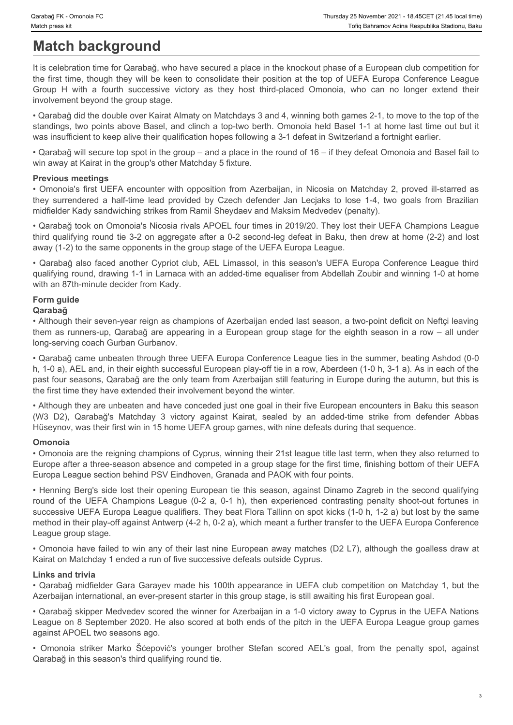# **Match background**

It is celebration time for Qarabağ, who have secured a place in the knockout phase of a European club competition for the first time, though they will be keen to consolidate their position at the top of UEFA Europa Conference League Thursday 25 November 2021 - 18.45CET (21.45 local time)<br>
Match press kit<br>
Match background<br>
It is celebration time for Qarabağ, who have secured a place in the knockout phase of a European club competition for<br>
the first t involvement beyond the group stage. Thunday BK. Omorais FC.<br> **Match background**<br> **Match background**<br> **Match background**<br>
It is edebration time for Qarabag, who have secured a place in the knockout phase of a European club competition for<br>
It is edebration ti

• Qarabağ did the double over Kairat Almaty on Matchdays 3 and 4, winning both games 2-1, to move to the top of the standings, two points above Basel, and clinch a top-two berth. Omonoia held Basel 1-1 at home last time out but it was insufficient to keep alive their qualification hopes following a 3-1 defeat in Switzerland a fortnight earlier.

• Qarabağ will secure top spot in the group – and a place in the round of 16 – if they defeat Omonoia and Basel fail to win away at Kairat in the group's other Matchday 5 fixture.

#### **Previous meetings**

• Omonoia's first UEFA encounter with opposition from Azerbaijan, in Nicosia on Matchday 2, proved ill-starred as midfielder Kady sandwiching strikes from Ramil Sheydaev and Maksim Medvedev (penalty).

• Qarabağ took on Omonoia's Nicosia rivals APOEL four times in 2019/20. They lost their UEFA Champions League third qualifying round tie 3-2 on aggregate after a 0-2 second-leg defeat in Baku, then drew at home (2-2) and lost away (1-2) to the same opponents in the group stage of the UEFA Europa League.

• Qarabağ also faced another Cypriot club, AEL Limassol, in this season's UEFA Europa Conference League third qualifying round, drawing 1-1 in Larnaca with an added-time equaliser from Abdellah Zoubir and winning 1-0 at home with an 87th-minute decider from Kady.

## **Form guide**

## **Qarabağ**

• Although their seven-year reign as champions of Azerbaijan ended last season, a two-point deficit on Neftçi leaving them as runners-up, Qarabağ are appearing in a European group stage for the eighth season in a row – all under long-serving coach Gurban Gurbanov.

• Qarabağ came unbeaten through three UEFA Europa Conference League ties in the summer, beating Ashdod (0-0 h, 1-0 a), AEL and, in their eighth successful European play-off tie in a row, Aberdeen (1-0 h, 3-1 a). As in each of the past four seasons, Qarabağ are the only team from Azerbaijan still featuring in Europe during the autumn, but this is the first time they have extended their involvement beyond the winter. (We can be caused in the case of the case of the case of the case of the case of a strike from the stress African methods with the stress African methods with the stress Matchester Christmas and the case of a strike from d

• Although they are unbeaten and have conceded just one goal in their five European encounters in Baku this season Hüseynov, was their first win in 15 home UEFA group games, with nine defeats during that sequence.

#### **Omonoia**

• Omonoia are the reigning champions of Cyprus, winning their 21st league title last term, when they also returned to Europe after a three-season absence and competed in a group stage for the first time, finishing bottom of their UEFA Europa League section behind PSV Eindhoven, Granada and PAOK with four points.

• Henning Berg's side lost their opening European tie this season, against Dinamo Zagreb in the second qualifying Cour H viel in the three states velocity as they host hitely according to the unit of the UEFA Champions (Cour H viel in the UEFA Champions League (0,2 a, 0,2 a, 0,2 a, 0,2 a, 0,2 a, 0,2 a, 0,2 a, 0,2 a, 0,2 a, 0,2 a, 0,2 successive UEFA Europa League qualifiers. They beat Flora Tallinn on spot kicks (1-0 h, 1-2 a) but lost by the same method in their play-off against Antwerp (4-2 h, 0-2 a), which meant a further transfer to the UEFA Europa Conference League group stage. **htrickrona strike responses and the consequence of the 10 minimization of the penalty spot and the penalty spot and the acceleration consequence of the 10 minimization consequence after a Data acceleration consequence at** 

• Omonoia have failed to win any of their last nine European away matches (D2 L7), although the goalless draw at Kairat on Matchday 1 ended a run of five successive defeats outside Cyprus.

#### **Links and trivia**

• Qarabağ midfielder Gara Garayev made his 100th appearance in UEFA club competition on Matchday 1, but the Azerbaijan international, an ever-present starter in this group stage, is still awaiting his first European goal.

• Qarabağ skipper Medvedev scored the winner for Azerbaijan in a 1-0 victory away to Cyprus in the UEFA Nations League on 8 September 2020. He also scored at both ends of the pitch in the UEFA Europa League group games against APOEL two seasons ago.

Qarabağ in this season's third qualifying round tie.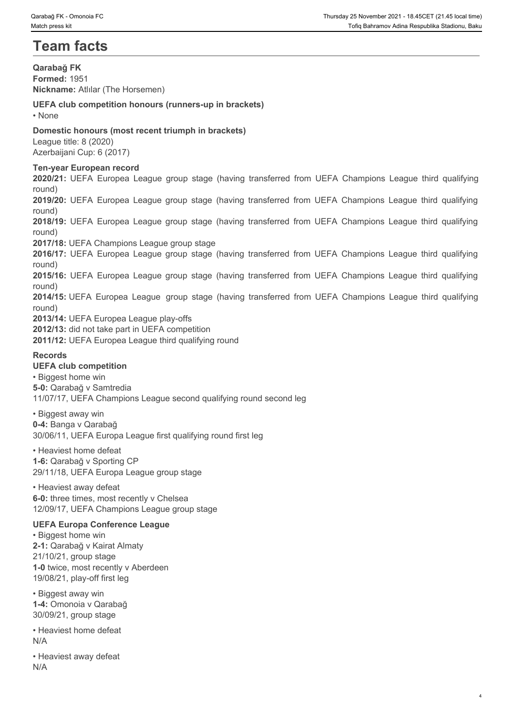# **Team facts**

**Qarabağ FK Formed:** 1951 **Nickname:** Atlılar (The Horsemen) **UEFA club competition honours (runners-up in brackets)** • None **blue** and **blue** and **blue** and **blue** and **blue** and **blue** and **blue** and **blue** and **blue** and **blue** and **blue** and **blue** and **blue** and **blue** and **blue** and **blue** and **blue** and **blue** and **blue** and **blue Domestic honours (most recent triumph in brackets)** League title: 8 (2020) Azerbaijani Cup: 6 (2017) **Ten-year European record 2020/21: UEFA Europea League group stage (having transferred from UEFA Champions League third qualifying<br>1940 Methanine: Atlidar (The Horsemen)<br><b>2020/21: UEFA Chapter (Horsemen)**<br>UEFA Chapter (1951<br>1970 Metallo: 8 (2020)<br> round) **2019/20:** Concretis FC<br>**2019/20: UEFA Europea League group stage (having transferred from UEFA Champions League third qualifying<br>Dambagi FK<br>DEFA club competition honours (runners-up in brackets)<br>
1 - None<br>
1 - None<br>
1 - N** round) **2018/19: Chronos EC Deadles Constrant Constrant Constrant Constrant Constrant Constrant Constrant Constrant Constrant Constrant Constrant Constrant Constrant Constrant Constrant Constrant Constrant Constrant Constrant Con** round) **2017/18:** UEFA Champions League group stage **2018/17: 2016/17: <sup>20</sup> 2016/2016 Properties Constant Constant Constant Constant Constant Constant Constant Constant Constant Constant Constant Constant Constant Constant Constant Constant Constant Constant Constant Cons** round) **2016/2017:** Controls ITC<br>**2021 Account Controls Controls Controls Controls Controls Controls Controls Controls Controls Controls Controls Controls Controls Controls Controls Controls Controls Controls Controls Controls Co** round) **2016/15:** UEFA Europea League group stage (having transferred from UEFA Champions League third qualifying<br>**2014/15:** UEFA Champions (funners-up in brackets)<br>**Domestic honours (more transferred from the stage (having trans** round) **2013/14:** UEFA Europea League play-offs **2012/13:** did not take part in UEFA competition **2011/12:** UEFA Europea League third qualifying round **Records UEFA club competition** • Biggest home win **5-0:** Qarabağ v Samtredia 11/07/17, UEFA Champions League second qualifying round second leg • Biggest away win **0-4:** Banga v Qarabağ 30/06/11, UEFA Europa League first qualifying round first leg • Heaviest home defeat **1-6:** Qarabağ v Sporting CP

29/11/18, UEFA Europa League group stage

• Heaviest away defeat **6-0:** three times, most recently v Chelsea 12/09/17, UEFA Champions League group stage

#### **UEFA Europa Conference League**

• Biggest home win **2-1:** Qarabağ v Kairat Almaty 21/10/21, group stage **1-0** twice, most recently v Aberdeen 19/08/21, play-off first leg

• Biggest away win **1-4:** Omonoia v Qarabağ 30/09/21, group stage

• Heaviest home defeat N/A

• Heaviest away defeat N/A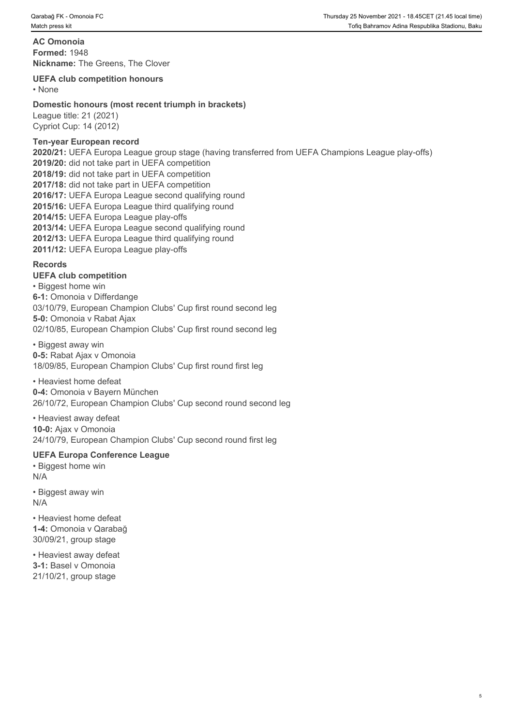**AC Omonoia Formed:** 1948 **Nickname:** The Greens, The Clover

#### **UEFA club competition honours**

• None **but the contract of the contract of the contract of the contract of the contract of the contract of the contract of the contract of the contract of the contract of the contract of the contract of the contract of th** 

#### **Domestic honours (most recent triumph in brackets)**

League title: 21 (2021) Cypriot Cup: 14 (2012)

## **Ten-year European record**

**2020/21:** UEFA Europa League group stage (having transferred from UEFA Champions League play-offs) **2019/20:** did not take part in UEFA competition **2018/19:** did not take part in UEFA competition **2017/18:** did not take part in UEFA competition **2016/17:** UEFA Europa League second qualifying round **2015/16:** UEFA Europa League third qualifying round **2014/15:** UEFA Europa League play-offs **2013/14:** UEFA Europa League second qualifying round **2012/13:** UEFA Europa League third qualifying round **2011/12:** UEFA Europa League play-offs

## **Records**

#### **UEFA club competition**

• Biggest home win **6-1:** Omonoia v Differdange 03/10/79, European Champion Clubs' Cup first round second leg **5-0:** Omonoia v Rabat Ajax 02/10/85, European Champion Clubs' Cup first round second leg

• Biggest away win **0-5:** Rabat Ajax v Omonoia 18/09/85, European Champion Clubs' Cup first round first leg

## • Heaviest home defeat

**0-4:** Omonoia v Bayern München 26/10/72, European Champion Clubs' Cup second round second leg

• Heaviest away defeat **10-0:** Ajax v Omonoia 24/10/79, European Champion Clubs' Cup second round first leg

## **UEFA Europa Conference League**

• Biggest home win N/A

• Biggest away win N/A

• Heaviest home defeat **1-4:** Omonoia v Qarabağ 30/09/21, group stage

• Heaviest away defeat **3-1:** Basel v Omonoia 21/10/21, group stage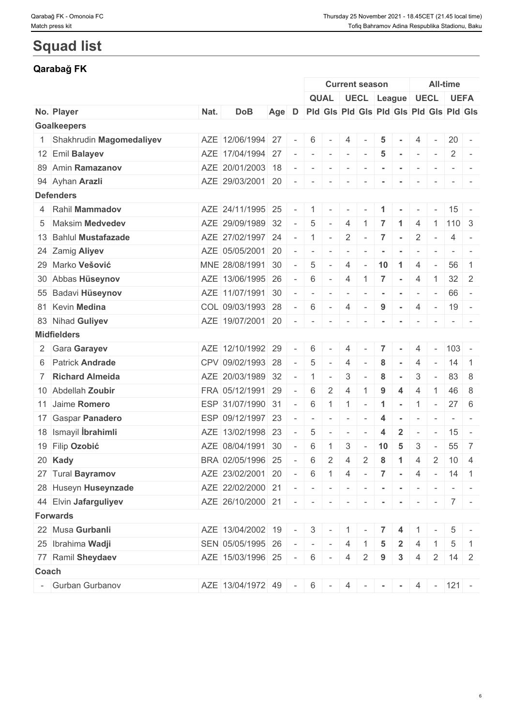# **Squad list**

## **Qarabağ FK**

|                            |      |                                               |       |                          |                                         |                          | <b>Current season</b>              |                |                  |                      |                          |                          | <b>All-time</b>     |                                                                                   |
|----------------------------|------|-----------------------------------------------|-------|--------------------------|-----------------------------------------|--------------------------|------------------------------------|----------------|------------------|----------------------|--------------------------|--------------------------|---------------------|-----------------------------------------------------------------------------------|
|                            |      |                                               |       |                          |                                         |                          | QUAL   UECL   League   UECL   UEFA |                |                  |                      |                          |                          |                     |                                                                                   |
| No. Player                 | Nat. | <b>DoB</b>                                    | Age D |                          | Pid Gis Pid Gis Pid Gis Pid Gis Pid Gis |                          |                                    |                |                  |                      |                          |                          |                     |                                                                                   |
| <b>Goalkeepers</b>         |      |                                               |       |                          |                                         |                          |                                    |                |                  |                      |                          |                          |                     |                                                                                   |
| 1 Shakhrudin Magomedaliyev |      | AZE 12/06/1994 27                             |       | $\sim$                   | 6                                       | $\sim$                   | 4                                  |                | 5                |                      | 4                        |                          | $20 -$              |                                                                                   |
| 12 Emil Balayev            |      | AZE 17/04/1994 27                             |       |                          | $\sim$                                  | $\sim$ $\sim$            |                                    | $\sim$         | 5                | $\sim$               | $\sim$                   | $\sim$                   | $2$ -               |                                                                                   |
| 89 Amin Ramazanov          |      | AZE 20/01/2003 18                             |       |                          |                                         |                          |                                    | $\sim$         |                  |                      |                          |                          |                     |                                                                                   |
| 94 Ayhan Arazli            |      | AZE 29/03/2001 20                             |       |                          | 1 - 1 - 1 - 1 -                         |                          |                                    | $\sim$         | $\sim$           | $\sim$               | $\sim$                   | $\sim$                   |                     |                                                                                   |
| <b>Defenders</b>           |      |                                               |       |                          |                                         |                          |                                    |                |                  |                      |                          |                          |                     |                                                                                   |
| 4 Rahil Mammadov           |      | AZE 24/11/1995 25                             |       | $\overline{\phantom{a}}$ |                                         |                          |                                    |                |                  |                      |                          |                          | $15 -$              |                                                                                   |
| 5 Maksim Medvedev          |      | AZE 29/09/1989 32                             |       | $\sim$                   | 5                                       | $\sim$                   | $\overline{4}$                     |                |                  | -1                   | 4                        |                          | $1 \mid 110 \mid 3$ |                                                                                   |
| 13 Bahlul Mustafazade      |      | AZE 27/02/1997 24                             |       |                          | $-11$                                   | $\sim$                   | $\overline{2}$                     | $\sim$         | $\overline{7}$   | $\sim$               | $\overline{2}$           |                          | $\overline{4}$      | $\sim$ $-$                                                                        |
| 24 Zamig Aliyev            |      | AZE 05/05/2001 20                             |       | $\sim$                   | $\sim$                                  | $\overline{\phantom{a}}$ | $\sim$                             |                |                  |                      |                          |                          | $\sim$              | $\sim$                                                                            |
| 29 Marko Vešović           |      | MNE 28/08/1991 30                             |       | $\sim$                   | 5                                       | $\sim$                   | $\overline{4}$                     | $\sim$         | 10               | $\blacktriangleleft$ | $\overline{4}$           | $\overline{\phantom{a}}$ | 56                  | $\overline{1}$                                                                    |
| 30 Abbas Hüseynov          |      | AZE 13/06/1995 26                             |       | $\sim$                   | 6                                       | $-1$                     | $\overline{4}$                     | $\overline{1}$ | $\overline{7}$   | $\sim$               | 4                        | -1                       | $32 \mid 2$         |                                                                                   |
| 55 Badavi Hüseynov         |      | AZE 11/07/1991 30                             |       | $\sim$                   | $\sim$                                  | $\overline{\phantom{a}}$ | $\overline{\phantom{a}}$           |                |                  |                      | $\overline{\phantom{a}}$ |                          | $66 -$              |                                                                                   |
| 81 Kevin Medina            |      | COL 09/03/1993 28                             |       | $\sim 10^{-1}$           | 6                                       | $\sim$                   | $\overline{4}$                     | $\sim$         | 9                | $\sim$               | $\overline{4}$           | $\sim$                   | $19 -$              |                                                                                   |
| 83 Nihad Guliyev           |      | $AZE$ 19/07/2001 20 - - - -                   |       |                          |                                         |                          |                                    | $\sim$         | $\sim$           | $\sim$               | $\sim$                   | $\sim$                   | $ -$                |                                                                                   |
| <b>Midfielders</b>         |      |                                               |       |                          |                                         |                          |                                    |                |                  |                      |                          |                          |                     |                                                                                   |
| 2 Gara Garayev             |      | AZE 12/10/1992 29                             |       | $\overline{\phantom{a}}$ | 6                                       |                          | 4                                  |                |                  |                      | 4                        |                          | $ 103$ -            |                                                                                   |
| 6 Patrick Andrade          |      | CPV 09/02/1993 28                             |       | $\sim$                   | 5                                       | $\overline{\phantom{a}}$ | $\overline{4}$                     |                | 8                | $\sim$               | $\overline{4}$           | $\overline{\phantom{a}}$ | 14                  | $\overline{1}$                                                                    |
| 7 Richard Almeida          |      | AZE 20/03/1989 32                             |       | $\overline{\phantom{a}}$ | $\overline{1}$                          | $\overline{\phantom{a}}$ | $\mathfrak{Z}$                     |                | 8                |                      | 3                        |                          | 83                  | - 8                                                                               |
| 10 Abdellah Zoubir         |      | FRA 05/12/1991 29                             |       | $\sim$                   | 6                                       | $\overline{2}$           | $\overline{4}$                     |                | 9                | 4                    | $\overline{4}$           |                          | 46 8                |                                                                                   |
| 11 Jaime Romero            |      | ESP 31/07/1990 31                             |       | $\sim$                   | 6                                       | $\overline{1}$           | $\vert$ 1                          |                | -1               |                      | -1                       | $\overline{\phantom{a}}$ | 27                  | - 6                                                                               |
| 17 Gaspar Panadero         |      | ESP 09/12/1997 23                             |       | $\overline{\phantom{a}}$ | $\sim$                                  | $\sim$                   | $\sim$                             |                | 4                | $\sim$               | $\overline{\phantom{a}}$ |                          |                     | $\frac{1}{2} \left( \frac{1}{2} \right) \left( \frac{1}{2} \right) = \frac{1}{2}$ |
| 18 Ismayil İbrahimli       |      | AZE 13/02/1998 23                             |       | $\sim$                   | 5                                       | $\sim$                   | $\sim$                             |                | $\boldsymbol{4}$ | $\overline{2}$       | $\sim$                   | $\overline{\phantom{a}}$ | $15 -$              |                                                                                   |
| 19 Filip Ozobić            |      | AZE 08/04/1991 30                             |       | $\overline{\phantom{a}}$ | 6                                       |                          | 3                                  |                | 10               | -5                   | 3                        |                          | 55                  | $\overline{7}$                                                                    |
| 20 Kady                    |      | BRA 02/05/1996 25                             |       | $\overline{\phantom{a}}$ | 6                                       | $\overline{2}$           | $\overline{4}$                     | $\overline{2}$ | 8                | $\mathbf{1}$         | $\overline{4}$           | $\overline{2}$           | $10 \mid 4$         |                                                                                   |
| 27 Tural Bayramov          |      | AZE 23/02/2001 20                             |       | $\sim$                   | 6                                       | $1 \mid 4$               |                                    |                | $-7$ $-$         |                      | $\overline{4}$           | $\sim$                   | $14$ 1              |                                                                                   |
| 28 Huseyn Huseynzade       |      | AZE 22/02/2000 21                             |       |                          |                                         |                          |                                    |                |                  | $\sim$               | $\sim$                   |                          | $\sim$ 10 $\sim$    |                                                                                   |
| 44 Elvin Jafarguliyev      |      | AZE 26/10/2000 21 - - - - - - - - - - - - 7 - |       |                          |                                         |                          |                                    |                |                  |                      |                          |                          |                     |                                                                                   |
| <b>Forwards</b>            |      |                                               |       |                          |                                         |                          |                                    |                |                  |                      |                          |                          |                     |                                                                                   |
| 22 Musa Gurbanli           |      | AZE 13/04/2002 19 - 3 - 1 -                   |       |                          |                                         |                          |                                    |                | 7 <sup>1</sup>   | $\overline{4}$       |                          |                          | 5                   |                                                                                   |
| 25 Ibrahima Wadji          |      | SEN 05/05/1995 26                             |       |                          | $  -   -   -   -  $                     |                          | $\overline{4}$                     | $\overline{1}$ | $5\phantom{.0}$  | $\overline{2}$       | $\overline{4}$           |                          | 5                   |                                                                                   |
| 77 Ramil Sheydaev          |      | AZE 15/03/1996 25                             |       |                          | $-6$ $-4$ 2                             |                          |                                    |                |                  | $3\overline{3}$      |                          |                          | $14$ 2              |                                                                                   |
|                            |      |                                               |       |                          |                                         |                          |                                    |                | 9                |                      | $\overline{4}$           | $\vert 2 \vert$          |                     |                                                                                   |
| Coach                      |      |                                               |       |                          |                                         |                          |                                    |                |                  |                      |                          |                          |                     |                                                                                   |
| - Gurban Gurbanov          |      | AZE 13/04/1972 49 - 6 - 4 - - - 4 - 121 -     |       |                          |                                         |                          |                                    |                |                  |                      |                          |                          |                     |                                                                                   |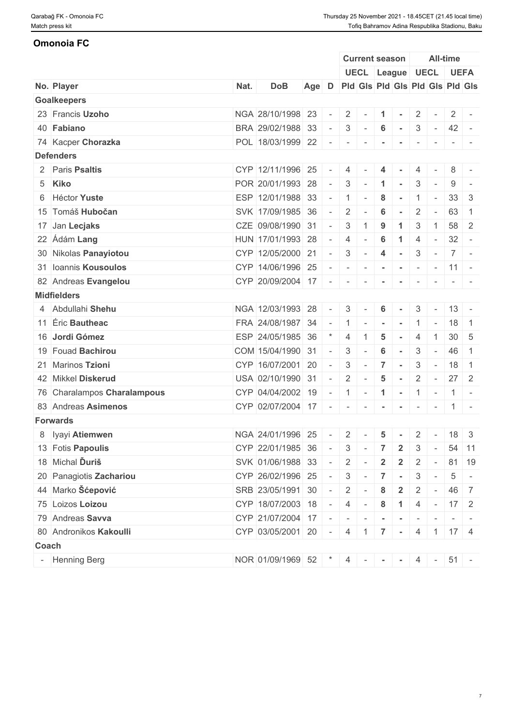## **Omonoia FC**

|                             |      |                                 |       |                          |                          |                          |                 | <b>Current season</b> |                |                          | <b>All-time</b>           |                                 |
|-----------------------------|------|---------------------------------|-------|--------------------------|--------------------------|--------------------------|-----------------|-----------------------|----------------|--------------------------|---------------------------|---------------------------------|
|                             |      |                                 |       |                          |                          |                          |                 | UECL League UECL UEFA |                |                          |                           |                                 |
| No. Player                  | Nat. | <b>DoB</b>                      | Age D |                          |                          |                          |                 |                       |                |                          |                           | Pid Gis Pid Gis Pid Gis Pid Gis |
| <b>Goalkeepers</b>          |      |                                 |       |                          |                          |                          |                 |                       |                |                          |                           |                                 |
| 23 Francis Uzoho            |      | NGA 28/10/1998 23               |       |                          | $2 \mid$                 |                          | $\mathbf{1}$    | $\sim$                | $\overline{2}$ |                          | $\mathbf{2}$              |                                 |
| 40 Fabiano                  |      | BRA 29/02/1988 33               |       | $\overline{\phantom{a}}$ | $3\phantom{.0}$          | $\sim$                   | 6               | $\sim$                | 3              | $\sim$ $-$               | $42 -$                    |                                 |
| 74 Kacper Chorazka          |      | POL 18/03/1999 22               |       | $\sim$                   | $\sim$                   | $\overline{\phantom{a}}$ |                 |                       |                |                          |                           |                                 |
| <b>Defenders</b>            |      |                                 |       |                          |                          |                          |                 |                       |                |                          |                           |                                 |
| 2 Paris Psaltis             |      | CYP 12/11/1996 25               |       |                          | 4                        |                          | 4               |                       |                |                          | 8                         | $\sim$                          |
| 5 Kiko                      |      | POR 20/01/1993 28               |       | $\overline{a}$           | 3                        |                          |                 |                       | 3              |                          | 9                         |                                 |
| 6 Héctor Yuste              |      | ESP 12/01/1988 33               |       | $\sim$                   | 1                        | $\sim$                   | 8               | $\sim$                |                | $\overline{\phantom{a}}$ | 33 <sup>1</sup>           | -3                              |
| 15 Tomáš Hubočan            |      | SVK 17/09/1985 36               |       | $\sim$                   | $\overline{2}$           | $\sim$                   | 6               | $\sim$                | $\overline{2}$ | $\sim$                   | 63                        | $\overline{1}$                  |
| 17 Jan Lecjaks              |      | CZE 09/08/1990 31               |       | $\sim$                   | 3                        |                          | 9               |                       | 3              |                          | 58                        | $\overline{2}$                  |
| 22 Ádám Lang                |      | HUN 17/01/1993 28               |       | $\sim$                   | 4                        |                          | $6\phantom{1}6$ | -1                    | 4              | $\sim$                   | 32                        | $\sim$                          |
| 30 Nikolas Panayiotou       |      | CYP 12/05/2000 21               |       | $\sim$                   | 3                        | $\sim$                   | $\overline{4}$  | $\sim$                | 3              | $\sim$                   |                           | $7$ -                           |
| 31 Ioannis Kousoulos        |      | CYP 14/06/1996 25               |       |                          | $\overline{\phantom{a}}$ | $\sim$                   | $\sim$          |                       |                | $\sim$                   | $11 -$                    |                                 |
| 82 Andreas Evangelou        |      | CYP 20/09/2004 17               |       | $\sim$                   | $\sim$                   |                          |                 |                       |                |                          |                           |                                 |
| <b>Midfielders</b>          |      |                                 |       |                          |                          |                          |                 |                       |                |                          |                           |                                 |
| 4 Abdullahi Shehu           |      | NGA 12/03/1993 28               |       |                          | 3                        |                          | 6               |                       | 3              |                          |                           | $13 -$                          |
| 11 Eric Bautheac            |      | FRA 24/08/1987 34               |       | $\sim$                   | 1                        | $\sim$                   |                 |                       |                |                          | 18                        | $\overline{1}$                  |
| 16 Jordi Gómez              |      | ESP 24/05/1985 36               |       |                          | 4                        |                          | 5               |                       | 4              |                          |                           | $30 \mid 5$                     |
| 19 Fouad Bachirou           |      | COM 15/04/1990 31               |       | $\sim$                   | 3                        | $\sim$                   | 6               |                       | 3              | $\sim$                   | 46                        | $\overline{1}$                  |
| 21 Marinos Tzioni           |      | CYP 16/07/2001                  | 20    | $\sim$                   | 3                        | $\sim$                   | $\overline{7}$  |                       | 3              | $\sim$                   | 18                        | $\overline{1}$                  |
| 42 Mikkel Diskerud          |      | USA 02/10/1990 31               |       | $\sim$                   | $\overline{2}$           |                          | 5               | $\sim$                | $\overline{2}$ | $\sim$ $-$               | 27                        | -2                              |
| 76 Charalampos Charalampous |      | CYP 04/04/2002 19               |       | $\sim$                   |                          | $1 - 1$                  |                 |                       | $-11 -$        |                          |                           | $1 -$                           |
| 83 Andreas Asimenos         |      | CYP 02/07/2004 17               |       | $\overline{\phantom{a}}$ | $\overline{\phantom{a}}$ |                          |                 |                       |                | $\sim$                   |                           | $1 -$                           |
| <b>Forwards</b>             |      |                                 |       |                          |                          |                          |                 |                       |                |                          |                           |                                 |
| 8 lyayi Atiemwen            |      | NGA 24/01/1996 25               |       | $\sim$                   | $2 \mid$                 | $\sim$                   | $5\phantom{.0}$ | $\sim$                | $\overline{2}$ | $\sim$                   |                           | $18 \mid 3$                     |
| 13 Fotis Papoulis           |      | CYP 22/01/1985 36               |       | $\sim$ $-$               | $3 -$                    |                          | $\overline{7}$  | $\mathbf{2}$          | $\mathbf{3}$   | $\sim$                   |                           | 54 11                           |
| 18 Michal Duriš             |      | SVK 01/06/1988 33               |       | $\sim$                   | 2                        | $\sim$                   | $\overline{2}$  | $\mathbf{2}$          | $\mathbf{2}$   | $\sim$                   |                           | 81 19                           |
| 20 Panagiotis Zachariou     |      | CYP 26/02/1996 25 -             |       |                          |                          |                          |                 | $3 - 7 -$             |                | $3 -$                    | $5\overline{)}$           |                                 |
| 44 Marko Šćepović           |      |                                 |       | $\sim$                   |                          |                          |                 |                       |                |                          |                           | $\mathbf{r}$                    |
|                             |      | SRB 23/05/1991 30               |       |                          | $2 \mid$                 |                          | 8               | $\mathbf{2}$          | 2              | $\sim$                   |                           | 46 7                            |
| 75 Loizos Loizou            |      | $CYP$ 18/07/2003 18 - 4 - 8     |       |                          |                          |                          |                 | $\overline{1}$        |                |                          | $4 - 17$ 2                |                                 |
| 79 Andreas Savva            |      | CYP 21/07/2004 17 - - - - - - - |       |                          |                          |                          |                 |                       |                | $\mathbf{r}$             |                           |                                 |
| 80 Andronikos Kakoulli      |      | CYP 03/05/2001 20 - 4 1 7       |       |                          |                          |                          |                 | the control           |                |                          | $4 \mid 1 \mid 17 \mid 4$ |                                 |
| Coach                       |      |                                 |       |                          |                          |                          |                 |                       |                |                          |                           |                                 |
| - Henning Berg              |      | NOR 01/09/1969 52 $*$ 4 - - -   |       |                          |                          |                          |                 |                       |                | $4 -$                    | $51 -$                    |                                 |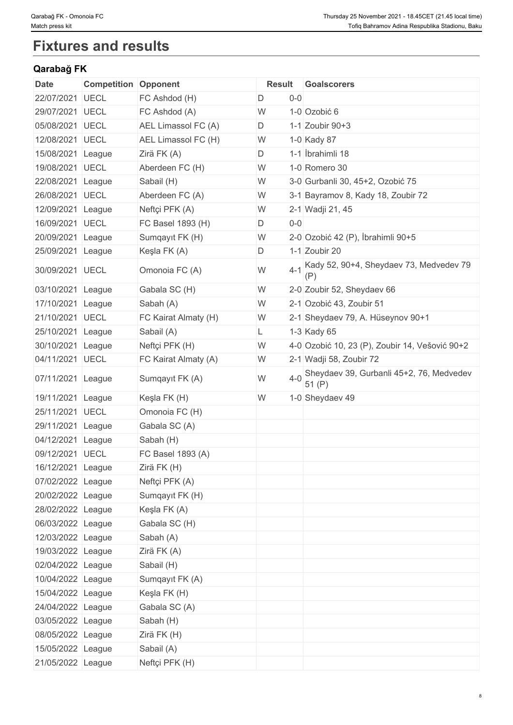# **Fixtures and results**

## **Qarabağ FK**

| <b>Date</b>       | <b>Competition Opponent</b> |                      | <b>Result</b> |         | <b>Goalscorers</b>                                |
|-------------------|-----------------------------|----------------------|---------------|---------|---------------------------------------------------|
| 22/07/2021        | <b>UECL</b>                 | FC Ashdod (H)        | D             | $0-0$   |                                                   |
| 29/07/2021        | <b>UECL</b>                 | FC Ashdod (A)        | W             |         | 1-0 Ozobić 6                                      |
| 05/08/2021        | UECL                        | AEL Limassol FC (A)  | D             |         | 1-1 Zoubir 90+3                                   |
| 12/08/2021        | <b>UECL</b>                 | AEL Limassol FC (H)  | W             |         | 1-0 Kady 87                                       |
| 15/08/2021 League |                             | Zirä FK (A)          | D             |         | 1-1 İbrahimli 18                                  |
| 19/08/2021        | <b>UECL</b>                 | Aberdeen FC (H)      | W             |         | 1-0 Romero 30                                     |
| 22/08/2021        | League                      | Sabail (H)           | W             |         | 3-0 Gurbanli 30, 45+2, Ozobić 75                  |
| 26/08/2021 UECL   |                             | Aberdeen FC (A)      | W             |         | 3-1 Bayramov 8, Kady 18, Zoubir 72                |
| 12/09/2021        | League                      | Neftçi PFK (A)       | W             |         | 2-1 Wadji 21, 45                                  |
| 16/09/2021        | <b>UECL</b>                 | FC Basel 1893 (H)    | D             | $0-0$   |                                                   |
| 20/09/2021 League |                             | Sumqayıt FK (H)      | W             |         | 2-0 Ozobić 42 (P), İbrahimli 90+5                 |
| 25/09/2021 League |                             | Keşla FK (A)         | D             |         | 1-1 Zoubir 20                                     |
| 30/09/2021        | <b>UECL</b>                 | Omonoia FC (A)       | W             | $4 - 1$ | Kady 52, 90+4, Sheydaev 73, Medvedev 79<br>(P)    |
| 03/10/2021        | League                      | Gabala SC (H)        | W             |         | 2-0 Zoubir 52, Sheydaev 66                        |
| 17/10/2021 League |                             | Sabah (A)            | W             |         | 2-1 Ozobić 43, Zoubir 51                          |
| 21/10/2021 UECL   |                             | FC Kairat Almaty (H) | W             |         | 2-1 Sheydaev 79, A. Hüseynov 90+1                 |
| 25/10/2021        | League                      | Sabail (A)           | L             |         | 1-3 Kady 65                                       |
| 30/10/2021 League |                             | Neftçi PFK (H)       | W             |         | 4-0 Ozobić 10, 23 (P), Zoubir 14, Vešović 90+2    |
| 04/11/2021 UECL   |                             | FC Kairat Almaty (A) | W             |         | 2-1 Wadji 58, Zoubir 72                           |
| 07/11/2021 League |                             | Sumqayıt FK (A)      | W             | $4 - 0$ | Sheydaev 39, Gurbanli 45+2, 76, Medvedev<br>51(P) |
| 19/11/2021        | League                      | Keşla FK (H)         | W             |         | 1-0 Sheydaev 49                                   |
| 25/11/2021 UECL   |                             | Omonoia FC (H)       |               |         |                                                   |
| 29/11/2021        | League                      | Gabala SC (A)        |               |         |                                                   |
| 04/12/2021        | League                      | Sabah (H)            |               |         |                                                   |
| 09/12/2021 UECL   |                             | FC Basel 1893 (A)    |               |         |                                                   |
| 16/12/2021 League |                             | Zirä FK (H)          |               |         |                                                   |
| 07/02/2022 League |                             | Neftçi PFK (A)       |               |         |                                                   |
| 20/02/2022 League |                             | Sumqayıt FK (H)      |               |         |                                                   |
| 28/02/2022 League |                             | Keşla FK (A)         |               |         |                                                   |
| 06/03/2022 League |                             | Gabala SC (H)        |               |         |                                                   |
| 12/03/2022 League |                             | Sabah (A)            |               |         |                                                   |
| 19/03/2022 League |                             | Zirä FK (A)          |               |         |                                                   |
| 02/04/2022 League |                             | Sabail (H)           |               |         |                                                   |
| 10/04/2022 League |                             | Sumqayıt FK (A)      |               |         |                                                   |
| 15/04/2022 League |                             | Keşla FK (H)         |               |         |                                                   |
| 24/04/2022 League |                             | Gabala SC (A)        |               |         |                                                   |
| 03/05/2022 League |                             | Sabah (H)            |               |         |                                                   |
| 08/05/2022 League |                             | Zirä FK (H)          |               |         |                                                   |
| 15/05/2022 League |                             | Sabail (A)           |               |         |                                                   |
| 21/05/2022 League |                             | Neftçi PFK (H)       |               |         |                                                   |
|                   |                             |                      |               |         |                                                   |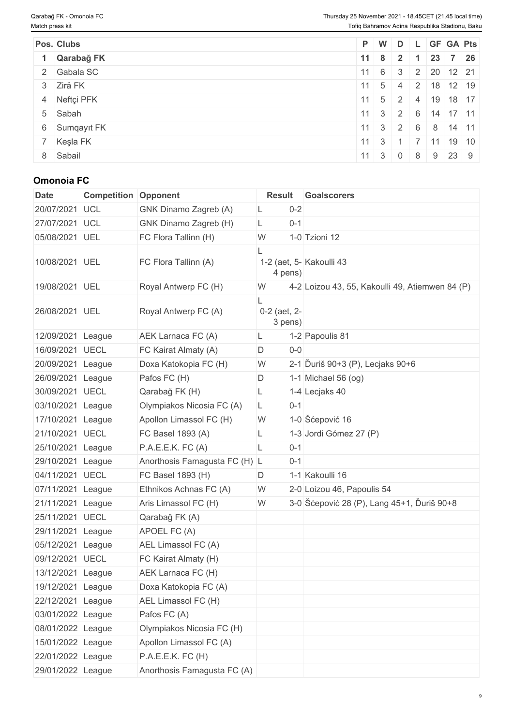| Pos. Clubs    |                      |                 |                            | $P$ W D L GF GA Pts                               |  |
|---------------|----------------------|-----------------|----------------------------|---------------------------------------------------|--|
| 1 Qarabağ FK  | $11 \quad 8 \quad 2$ |                 | $\blacktriangleleft$       | 23 7 26                                           |  |
| 2 Gabala SC   |                      |                 |                            | $ 11 $ 6 3 2 20 12 21                             |  |
| 3 Zirä FK     | $11 \quad 5 \quad 4$ |                 |                            | $\vert$ 2   18   12   19                          |  |
| 4 Neftçi PFK  |                      |                 |                            | $11 \mid 5 \mid 2 \mid 4 \mid 19 \mid 18 \mid 17$ |  |
| 5 Sabah       |                      |                 |                            | $11 \mid 3 \mid 2 \mid 6 \mid 14 \mid 17 \mid 11$ |  |
| 6 Sumqayıt FK |                      |                 |                            | $11 \mid 3 \mid 2 \mid 6 \mid 8 \mid 14 \mid 11$  |  |
| 7 Keşla FK    | $11 \quad 3 \quad 1$ | <b>Contract</b> |                            | $11$ 19 10                                        |  |
| 8 Sabail      | $11 \quad 3 \quad 0$ |                 | $\overline{\phantom{0}}$ 8 | $9 \mid 23 \mid 9$                                |  |

## **Omonoia FC**

| <b>Date</b>       | <b>Competition Opponent</b> |                               | <b>Result</b>           | <b>Goalscorers</b>                              |
|-------------------|-----------------------------|-------------------------------|-------------------------|-------------------------------------------------|
| 20/07/2021        | <b>UCL</b>                  | GNK Dinamo Zagreb (A)         | $0 - 2$<br>L            |                                                 |
| 27/07/2021        | <b>UCL</b>                  | GNK Dinamo Zagreb (H)         | $0 - 1$<br>L            |                                                 |
| 05/08/2021 UEL    |                             | FC Flora Tallinn (H)          | W                       | 1-0 Tzioni 12                                   |
| 10/08/2021 UEL    |                             | FC Flora Tallinn (A)          | 4 pens)                 | 1-2 (aet, 5- Kakoulli 43                        |
| 19/08/2021 UEL    |                             | Royal Antwerp FC (H)          | W                       | 4-2 Loizou 43, 55, Kakoulli 49, Atiemwen 84 (P) |
| 26/08/2021 UEL    |                             | Royal Antwerp FC (A)          | 0-2 (aet, 2-<br>3 pens) |                                                 |
| 12/09/2021        | League                      | AEK Larnaca FC (A)            | L                       | 1-2 Papoulis 81                                 |
| 16/09/2021 UECL   |                             | FC Kairat Almaty (A)          | $0-0$<br>D              |                                                 |
| 20/09/2021        | League                      | Doxa Katokopia FC (H)         | W                       | 2-1 Duriš 90+3 (P), Lecjaks 90+6                |
| 26/09/2021 League |                             | Pafos FC (H)                  | D                       | 1-1 Michael 56 (og)                             |
| 30/09/2021        | <b>UECL</b>                 | Qarabağ FK (H)                | L                       | 1-4 Lecjaks 40                                  |
| 03/10/2021        | League                      | Olympiakos Nicosia FC (A)     | $0 - 1$<br>L            |                                                 |
| 17/10/2021 League |                             | Apollon Limassol FC (H)       | W                       | 1-0 Šćepović 16                                 |
| 21/10/2021 UECL   |                             | FC Basel 1893 (A)             | L                       | 1-3 Jordi Gómez 27 (P)                          |
| 25/10/2021 League |                             | P.A.E.E.K. FC (A)             | L<br>$0 - 1$            |                                                 |
| 29/10/2021        | League                      | Anorthosis Famagusta FC (H) L | $0 - 1$                 |                                                 |
| 04/11/2021 UECL   |                             | FC Basel 1893 (H)             | D                       | 1-1 Kakoulli 16                                 |
| 07/11/2021        | League                      | Ethnikos Achnas FC (A)        | W                       | 2-0 Loizou 46, Papoulis 54                      |
| 21/11/2021        | League                      | Aris Limassol FC (H)          | W                       | 3-0 Šćepović 28 (P), Lang 45+1, Ďuriš 90+8      |
| 25/11/2021        | <b>UECL</b>                 | Qarabağ FK (A)                |                         |                                                 |
| 29/11/2021        | League                      | APOEL FC (A)                  |                         |                                                 |
| 05/12/2021        | League                      | AEL Limassol FC (A)           |                         |                                                 |
| 09/12/2021 UECL   |                             | FC Kairat Almaty (H)          |                         |                                                 |
| 13/12/2021 League |                             | AEK Larnaca FC (H)            |                         |                                                 |
| 19/12/2021 League |                             | Doxa Katokopia FC (A)         |                         |                                                 |
| 22/12/2021 League |                             | AEL Limassol FC (H)           |                         |                                                 |
| 03/01/2022 League |                             | Pafos FC (A)                  |                         |                                                 |
| 08/01/2022 League |                             | Olympiakos Nicosia FC (H)     |                         |                                                 |
| 15/01/2022 League |                             | Apollon Limassol FC (A)       |                         |                                                 |
| 22/01/2022 League |                             | P.A.E.E.K. FC (H)             |                         |                                                 |
| 29/01/2022 League |                             | Anorthosis Famagusta FC (A)   |                         |                                                 |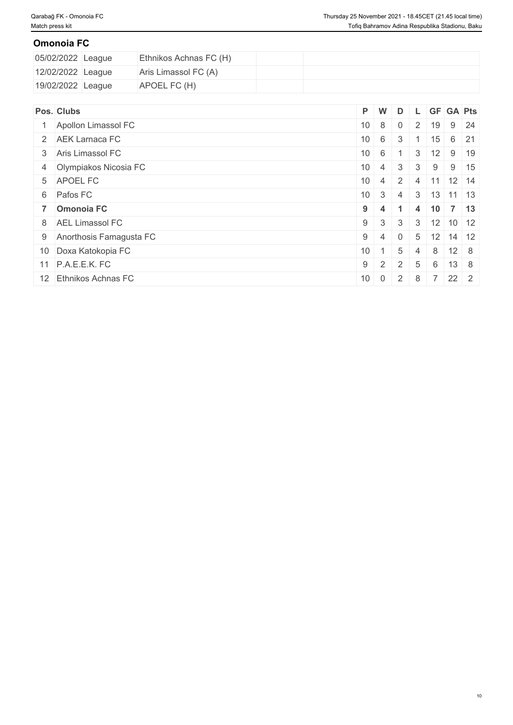## **Omonoia FC**

| 05/02/2022 League | Ethnikos Achnas FC (H) |  |  |  |
|-------------------|------------------------|--|--|--|
| 12/02/2022 League | Aris Limassol FC (A)   |  |  |  |
| 19/02/2022 League | APOEL FC (H)           |  |  |  |

| Pos. Clubs                | P W             |                         |               |                |                  |                             | D L GF GA Pts |
|---------------------------|-----------------|-------------------------|---------------|----------------|------------------|-----------------------------|---------------|
| Apollon Limassol FC       |                 | $10 \quad 8 \quad 0$    |               |                | $2 \mid 19 \mid$ |                             | $9 \mid 24$   |
| 2 AEK Larnaca FC          |                 | $10 \quad 6$            | 3             |                | 15 <sup>15</sup> |                             | $6 \mid 21$   |
| 3 Aris Limassol FC        | $10 \quad 6$    |                         |               | 3              | 12               |                             | $9 \mid 19$   |
| 4 Olympiakos Nicosia FC   |                 | $10 \mid 4 \mid 3$      |               | 3 <sup>1</sup> | 9 <sup>1</sup>   |                             | $9 \mid 15$   |
| 5 APOEL FC                |                 | $10 \mid 4 \mid 2 \mid$ |               | $\overline{4}$ | $\vert$ 11       | $12 \mid 14$                |               |
| 6 Pafos FC                |                 | $10 \quad 3$            | 4             |                |                  | $3 \mid 13 \mid 11 \mid 13$ |               |
| 7 Omonoia FC              | $9 \mid 4$      |                         | -1            | 4              |                  | $10 \mid 7 \mid 13$         |               |
| 8 AEL Limassol FC         | $9 \mid 3$      |                         | 3             | 3              |                  | $12$ 10 12                  |               |
| 9 Anorthosis Famagusta FC | $9 \mid 4$      |                         | $\Omega$      | 5 <sup>5</sup> |                  | $12$ 14 12                  |               |
| 10 Doxa Katokopia FC      | 10 <sup>1</sup> |                         | 5             | $\vert$ 4      | 8                | $12 \quad 8$                |               |
| 11 P.A.E.E.K. FC          | $9 \mid 2$      |                         | $\mathcal{P}$ | 5              | 6                | $13 \quad 8$                |               |
| 12 Ethnikos Achnas FC     |                 | $10 \mid 0 \mid 2$      |               | 8              |                  | 22 2                        |               |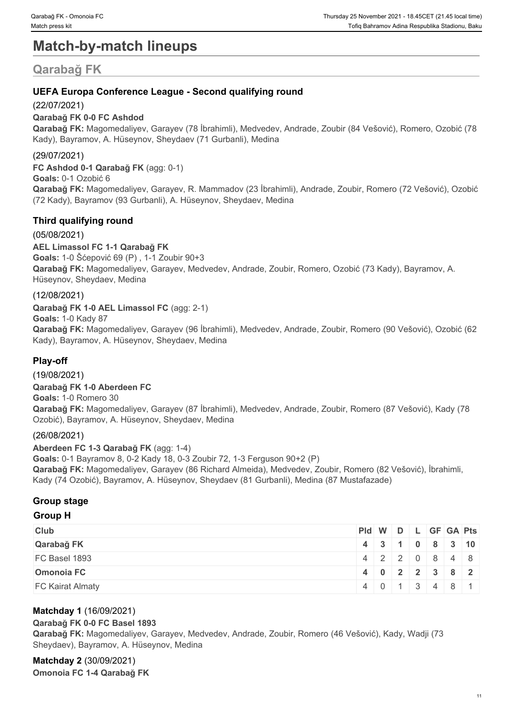# **Match-by-match lineups**

# **Qarabağ FK**

## **UEFA Europa Conference League - Second qualifying round**

## (22/07/2021)

## **Qarabağ FK 0-0 FC Ashdod**

**Qarabağ FK:** Magomedaliyev, Garayev (78 İbrahimli), Medvedev, Andrade, Zoubir (84 Vešović), Romero, Ozobić (78 Kady), Bayramov, A. Hüseynov, Sheydaev (71 Gurbanli), Medina

## (29/07/2021)

**FC Ashdod 0-1 Qarabağ FK** (agg: 0-1) **Goals:** 0-1 Ozobić 6 **Qarabağ FK:** Magomedaliyev, Garayev, R. Mammadov (23 İbrahimli), Andrade, Zoubir, Romero (72 Vešović), Ozobić (72 Kady), Bayramov (93 Gurbanli), A. Hüseynov, Sheydaev, Medina

## **Third qualifying round**

(05/08/2021) **AEL Limassol FC 1-1 Qarabağ FK Goals:** 1-0 Šćepović 69 (P) , 1-1 Zoubir 90+3 **Qarabağ FK:** Magomedaliyev, Garayev, Medvedev, Andrade, Zoubir, Romero, Ozobić (73 Kady), Bayramov, A. Hüseynov, Sheydaev, Medina

## (12/08/2021)

**Qarabağ FK 1-0 AEL Limassol FC** (agg: 2-1) **Goals:** 1-0 Kady 87 **Qarabağ FK:** Magomedaliyev, Garayev (96 İbrahimli), Medvedev, Andrade, Zoubir, Romero (90 Vešović), Ozobić (62 Kady), Bayramov, A. Hüseynov, Sheydaev, Medina

## **Play-off**

(19/08/2021)

**Qarabağ FK 1-0 Aberdeen FC Goals:** 1-0 Romero 30 **Qarabağ FK:** Magomedaliyev, Garayev (87 İbrahimli), Medvedev, Andrade, Zoubir, Romero (87 Vešović), Kady (78 Ozobić), Bayramov, A. Hüseynov, Sheydaev, Medina

## (26/08/2021)

**Aberdeen FC 1-3 Qarabağ FK** (agg: 1-4) **Goals:** 0-1 Bayramov 8, 0-2 Kady 18, 0-3 Zoubir 72, 1-3 Ferguson 90+2 (P) **Qarabağ FK:** Magomedaliyev, Garayev (86 Richard Almeida), Medvedev, Zoubir, Romero (82 Vešović), İbrahimli, Kady (74 Ozobić), Bayramov, A. Hüseynov, Sheydaev (81 Gurbanli), Medina (87 Mustafazade)

## **Group stage**

## **Group H**

| <b>Club</b>             | $PId \mid W \mid D \mid L \mid GF \mid GA \mid Pts \mid$ |  |  |                 |  |
|-------------------------|----------------------------------------------------------|--|--|-----------------|--|
| Qarabağ FK              |                                                          |  |  | 4 3 1 0 8 3 10  |  |
| FC Basel 1893           |                                                          |  |  | $4$ 2 2 0 8 4 8 |  |
| <b>Omonoia FC</b>       |                                                          |  |  | 4 0 2 2 3 8 2   |  |
| <b>FC Kairat Almaty</b> |                                                          |  |  | 4 0 1 3 4 8 1   |  |

## **Matchday 1** (16/09/2021)

## **Qarabağ FK 0-0 FC Basel 1893**

**Qarabağ FK:** Magomedaliyev, Garayev, Medvedev, Andrade, Zoubir, Romero (46 Vešović), Kady, Wadji (73 Sheydaev), Bayramov, A. Hüseynov, Medina

#### **Matchday 2** (30/09/2021) **Omonoia FC 1-4 Qarabağ FK**

11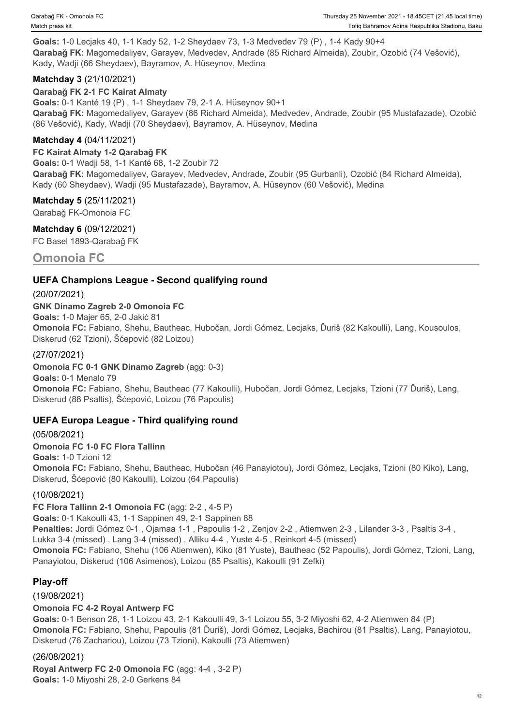**Goals:** 1-0 Lecjaks 40, 1-1 Kady 52, 1-2 Sheydaev 73, 1-3 Medvedev 79 (P) , 1-4 Kady 90+4 **Qarabağ FK:** Magomedaliyev, Garayev, Medvedev, Andrade (85 Richard Almeida), Zoubir, Ozobić (74 Vešović), Kady, Wadji (66 Sheydaev), Bayramov, A. Hüseynov, Medina

## **Matchday 3** (21/10/2021)

**Qarabağ FK 2-1 FC Kairat Almaty Goals:** 0-1 Kanté 19 (P) , 1-1 Sheydaev 79, 2-1 A. Hüseynov 90+1 **Qarabağ FK:** Magomedaliyev, Garayev (86 Richard Almeida), Medvedev, Andrade, Zoubir (95 Mustafazade), Ozobić (86 Vešović), Kady, Wadji (70 Sheydaev), Bayramov, A. Hüseynov, Medina

## **Matchday 4** (04/11/2021)

**FC Kairat Almaty 1-2 Qarabağ FK Goals:** 0-1 Wadji 58, 1-1 Kanté 68, 1-2 Zoubir 72 **Qarabağ FK:** Magomedaliyev, Garayev, Medvedev, Andrade, Zoubir (95 Gurbanli), Ozobić (84 Richard Almeida), Kady (60 Sheydaev), Wadji (95 Mustafazade), Bayramov, A. Hüseynov (60 Vešović), Medina

**Matchday 5** (25/11/2021) Qarabağ FK-Omonoia FC

**Matchday 6** (09/12/2021) FC Basel 1893-Qarabağ FK

## **Omonoia FC**

## **UEFA Champions League - Second qualifying round**

(20/07/2021) **GNK Dinamo Zagreb 2-0 Omonoia FC Goals:** 1-0 Majer 65, 2-0 Jakić 81 **Omonoia FC:** Fabiano, Shehu, Bautheac, Hubočan, Jordi Gómez, Lecjaks, Ďuriš (82 Kakoulli), Lang, Kousoulos, Diskerud (62 Tzioni), Šćepović (82 Loizou)

#### (27/07/2021)

**Omonoia FC 0-1 GNK Dinamo Zagreb** (agg: 0-3)

**Goals:** 0-1 Menalo 79 **Omonoia FC:** Fabiano, Shehu, Bautheac (77 Kakoulli), Hubočan, Jordi Gómez, Lecjaks, Tzioni (77 Ďuriš), Lang, Diskerud (88 Psaltis), Šćepović, Loizou (76 Papoulis)

## **UEFA Europa League - Third qualifying round**

(05/08/2021) **Omonoia FC 1-0 FC Flora Tallinn Goals:** 1-0 Tzioni 12 **Omonoia FC:** Fabiano, Shehu, Bautheac, Hubočan (46 Panayiotou), Jordi Gómez, Lecjaks, Tzioni (80 Kiko), Lang, Diskerud, Šćepović (80 Kakoulli), Loizou (64 Papoulis)

## (10/08/2021)

**FC Flora Tallinn 2-1 Omonoia FC** (agg: 2-2 , 4-5 P) **Goals:** 0-1 Kakoulli 43, 1-1 Sappinen 49, 2-1 Sappinen 88 **Penalties:** Jordi Gómez 0-1 , Ojamaa 1-1 , Papoulis 1-2 , Zenjov 2-2 , Atiemwen 2-3 , Lilander 3-3 , Psaltis 3-4 , Lukka 3-4 (missed) , Lang 3-4 (missed) , Alliku 4-4 , Yuste 4-5 , Reinkort 4-5 (missed) **Omonoia FC:** Fabiano, Shehu (106 Atiemwen), Kiko (81 Yuste), Bautheac (52 Papoulis), Jordi Gómez, Tzioni, Lang, Panayiotou, Diskerud (106 Asimenos), Loizou (85 Psaltis), Kakoulli (91 Zefki)

## **Play-off**

(19/08/2021)

## **Omonoia FC 4-2 Royal Antwerp FC**

**Goals:** 0-1 Benson 26, 1-1 Loizou 43, 2-1 Kakoulli 49, 3-1 Loizou 55, 3-2 Miyoshi 62, 4-2 Atiemwen 84 (P) **Omonoia FC:** Fabiano, Shehu, Papoulis (81 Ďuriš), Jordi Gómez, Lecjaks, Bachirou (81 Psaltis), Lang, Panayiotou, Diskerud (76 Zachariou), Loizou (73 Tzioni), Kakoulli (73 Atiemwen)

## (26/08/2021)

**Royal Antwerp FC 2-0 Omonoia FC** (agg: 4-4 , 3-2 P) **Goals:** 1-0 Miyoshi 28, 2-0 Gerkens 84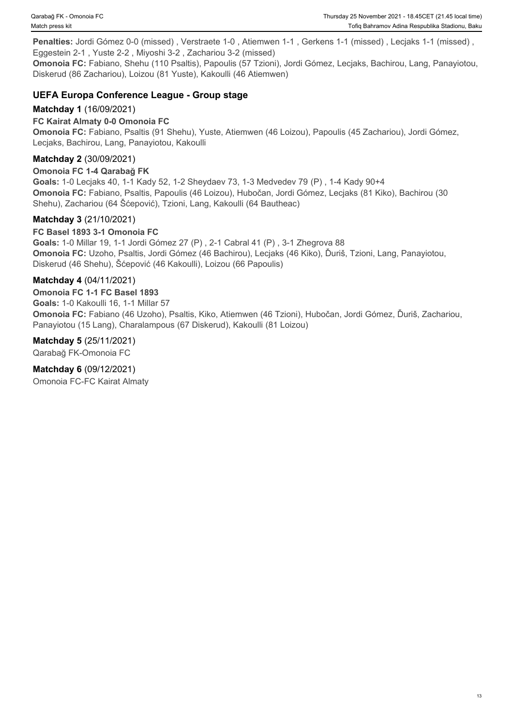Penalties: Jordi Gómez 0-0 (missed), Verstraete 1-0, Atiemwen 1-1, Gerkens 1-1 (missed), Lecjaks 1-1 (missed), Eggestein 2-1 , Yuste 2-2 , Miyoshi 3-2 , Zachariou 3-2 (missed)

**Omonoia FC:** Fabiano, Shehu (110 Psaltis), Papoulis (57 Tzioni), Jordi Gómez, Lecjaks, Bachirou, Lang, Panayiotou, Diskerud (86 Zachariou), Loizou (81 Yuste), Kakoulli (46 Atiemwen)

## **UEFA Europa Conference League - Group stage**

#### **Matchday 1** (16/09/2021)

#### **FC Kairat Almaty 0-0 Omonoia FC**

**Omonoia FC:** Fabiano, Psaltis (91 Shehu), Yuste, Atiemwen (46 Loizou), Papoulis (45 Zachariou), Jordi Gómez, Lecjaks, Bachirou, Lang, Panayiotou, Kakoulli

#### **Matchday 2** (30/09/2021)

#### **Omonoia FC 1-4 Qarabağ FK**

**Goals:** 1-0 Lecjaks 40, 1-1 Kady 52, 1-2 Sheydaev 73, 1-3 Medvedev 79 (P) , 1-4 Kady 90+4 **Omonoia FC:** Fabiano, Psaltis, Papoulis (46 Loizou), Hubočan, Jordi Gómez, Lecjaks (81 Kiko), Bachirou (30 Shehu), Zachariou (64 Šćepović), Tzioni, Lang, Kakoulli (64 Bautheac)

#### **Matchday 3** (21/10/2021)

#### **FC Basel 1893 3-1 Omonoia FC**

**Goals:** 1-0 Millar 19, 1-1 Jordi Gómez 27 (P) , 2-1 Cabral 41 (P) , 3-1 Zhegrova 88 **Omonoia FC:** Uzoho, Psaltis, Jordi Gómez (46 Bachirou), Lecjaks (46 Kiko), Ďuriš, Tzioni, Lang, Panayiotou, Diskerud (46 Shehu), Šćepović (46 Kakoulli), Loizou (66 Papoulis)

#### **Matchday 4** (04/11/2021)

**Omonoia FC 1-1 FC Basel 1893 Goals:** 1-0 Kakoulli 16, 1-1 Millar 57 **Omonoia FC:** Fabiano (46 Uzoho), Psaltis, Kiko, Atiemwen (46 Tzioni), Hubočan, Jordi Gómez, Ďuriš, Zachariou, Panayiotou (15 Lang), Charalampous (67 Diskerud), Kakoulli (81 Loizou)

#### **Matchday 5** (25/11/2021)

Qarabağ FK-Omonoia FC

#### **Matchday 6** (09/12/2021)

Omonoia FC-FC Kairat Almaty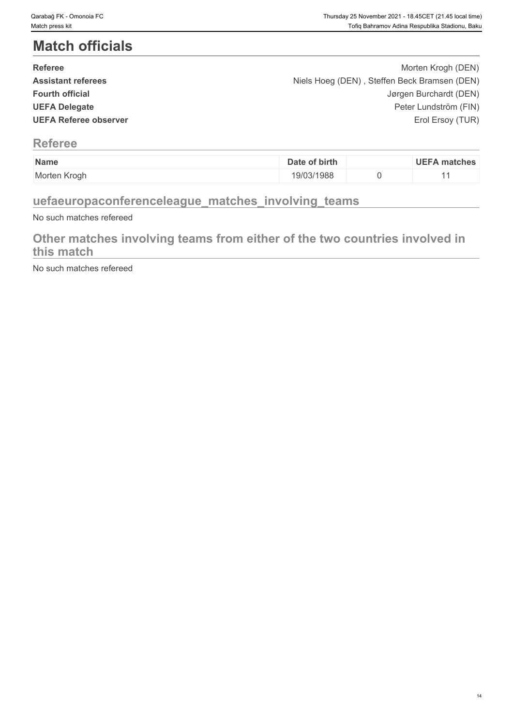# **Match officials**

| <b>Referee</b>               | Morten Krogh (DEN)                           |  |
|------------------------------|----------------------------------------------|--|
| <b>Assistant referees</b>    | Niels Hoeg (DEN), Steffen Beck Bramsen (DEN) |  |
| <b>Fourth official</b>       | Jørgen Burchardt (DEN)                       |  |
| <b>UEFA Delegate</b>         | Peter Lundström (FIN)                        |  |
| <b>UEFA Referee observer</b> | Erol Ersoy (TUR)                             |  |
|                              |                                              |  |

## **Referee**

| Name              | of birth<br>Date | UEF/<br>matches |
|-------------------|------------------|-----------------|
| Morten<br>. Kroał | 19/03/1988       |                 |

## **uefaeuropaconferenceleague\_matches\_involving\_teams**

No such matches refereed

## **Other matches involving teams from either of the two countries involved in this match**

No such matches refereed